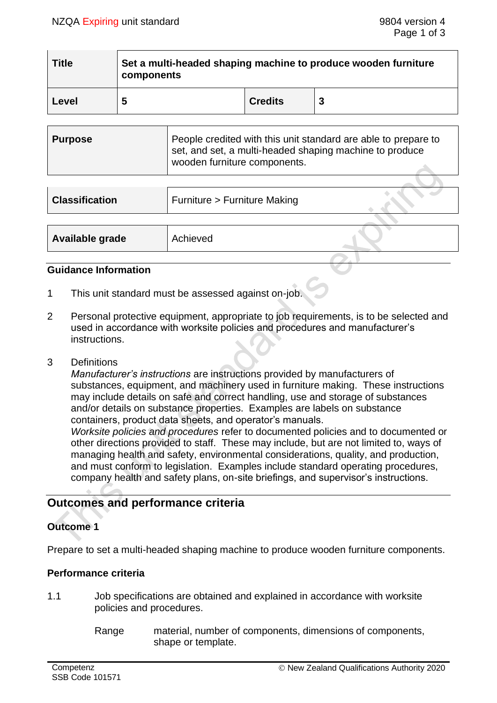| <b>Title</b> | Set a multi-headed shaping machine to produce wooden furniture<br>components |                |  |
|--------------|------------------------------------------------------------------------------|----------------|--|
| Level        | 5                                                                            | <b>Credits</b> |  |

| Purpose | People credited with this unit standard are able to prepare to<br>set, and set, a multi-headed shaping machine to produce<br>wooden furniture components. |
|---------|-----------------------------------------------------------------------------------------------------------------------------------------------------------|
|         |                                                                                                                                                           |

| <b>Classification</b> | Furniture > Furniture Making |  |
|-----------------------|------------------------------|--|
|                       |                              |  |
| Available grade       | Achieved                     |  |

## **Guidance Information**

- 1 This unit standard must be assessed against on-job.
- 2 Personal protective equipment, appropriate to job requirements, is to be selected and used in accordance with worksite policies and procedures and manufacturer's instructions.
- 3 Definitions

*Manufacturer's instructions* are instructions provided by manufacturers of substances, equipment, and machinery used in furniture making. These instructions may include details on safe and correct handling, use and storage of substances and/or details on substance properties. Examples are labels on substance containers, product data sheets, and operator's manuals.

*Worksite policies and procedures* refer to documented policies and to documented or other directions provided to staff. These may include, but are not limited to, ways of managing health and safety, environmental considerations, quality, and production, and must conform to legislation. Examples include standard operating procedures, company health and safety plans, on-site briefings, and supervisor's instructions.

# **Outcomes and performance criteria**

# **Outcome 1**

Prepare to set a multi-headed shaping machine to produce wooden furniture components.

# **Performance criteria**

- 1.1 Job specifications are obtained and explained in accordance with worksite policies and procedures.
	- Range material, number of components, dimensions of components, shape or template.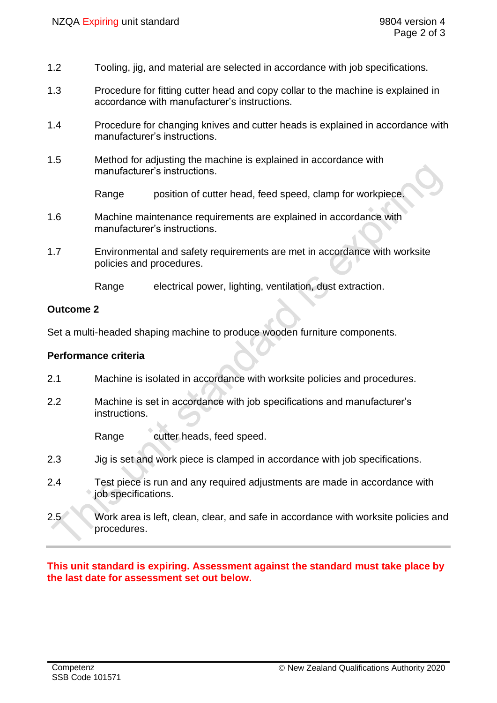- 1.2 Tooling, jig, and material are selected in accordance with job specifications.
- 1.3 Procedure for fitting cutter head and copy collar to the machine is explained in accordance with manufacturer's instructions.
- 1.4 Procedure for changing knives and cutter heads is explained in accordance with manufacturer's instructions.
- 1.5 Method for adjusting the machine is explained in accordance with manufacturer's instructions.

Range position of cutter head, feed speed, clamp for workpiece.

- 1.6 Machine maintenance requirements are explained in accordance with manufacturer's instructions.
- 1.7 Environmental and safety requirements are met in accordance with worksite policies and procedures.

Range electrical power, lighting, ventilation, dust extraction.

## **Outcome 2**

Set a multi-headed shaping machine to produce wooden furniture components.

#### **Performance criteria**

- 2.1 Machine is isolated in accordance with worksite policies and procedures.
- 2.2 Machine is set in accordance with job specifications and manufacturer's instructions.

Range cutter heads, feed speed.

- 2.3 Jig is set and work piece is clamped in accordance with job specifications.
- 2.4 Test piece is run and any required adjustments are made in accordance with job specifications.
- 2.5 Work area is left, clean, clear, and safe in accordance with worksite policies and procedures.

**This unit standard is expiring. Assessment against the standard must take place by the last date for assessment set out below.**